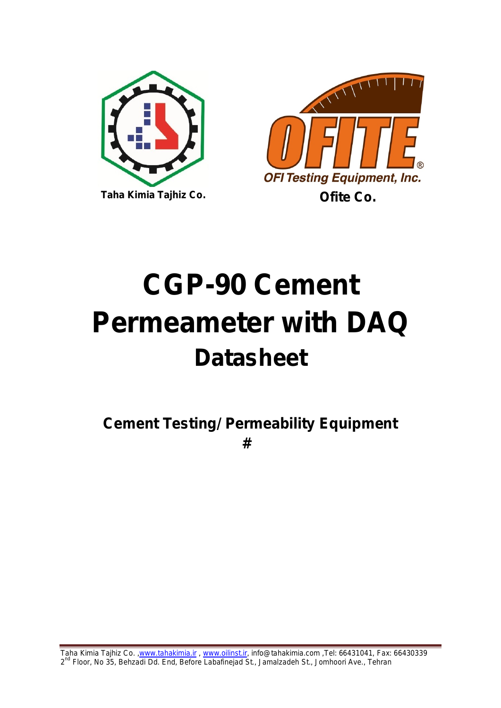



# **CGP-90 Cement Permeameter with DAQ Datasheet**

**Cement Testing/ Permeability Equipment #**

Taha Kimia Tajhiz Co. [,www.tahakimia.ir](http://www.tahakimia.ir/) , [www.oilinst.ir,](http://www.oilinst.ir/) info@tahakimia.com ,Tel: 66431041, Fax: 66430339 2<sup>nd</sup> Floor, No 35, Behzadi Dd. End, Before Labafinejad St., Jamalzadeh St., Jomhoori Ave., Tehran